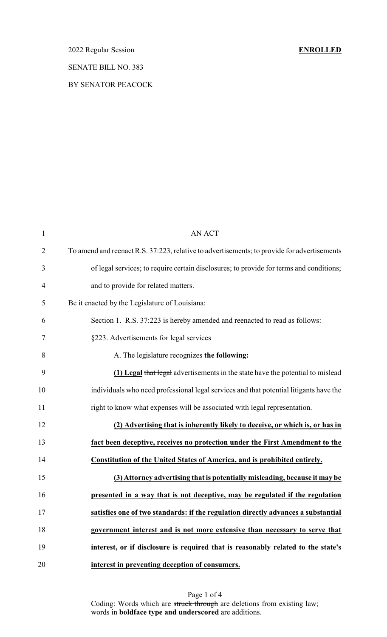# 2022 Regular Session **ENROLLED**

### SENATE BILL NO. 383

### BY SENATOR PEACOCK

| $\mathbf{1}$   | <b>AN ACT</b>                                                                               |  |  |  |  |
|----------------|---------------------------------------------------------------------------------------------|--|--|--|--|
| $\overline{2}$ | To amend and reenact R.S. 37:223, relative to advertisements; to provide for advertisements |  |  |  |  |
| 3              | of legal services; to require certain disclosures; to provide for terms and conditions;     |  |  |  |  |
| $\overline{4}$ | and to provide for related matters.                                                         |  |  |  |  |
| 5              | Be it enacted by the Legislature of Louisiana:                                              |  |  |  |  |
| 6              | Section 1. R.S. 37:223 is hereby amended and reenacted to read as follows:                  |  |  |  |  |
| $\tau$         | §223. Advertisements for legal services                                                     |  |  |  |  |
| 8              | A. The legislature recognizes the following:                                                |  |  |  |  |
| 9              | (1) Legal that legal advertisements in the state have the potential to mislead              |  |  |  |  |
| 10             | individuals who need professional legal services and that potential litigants have the      |  |  |  |  |
| 11             | right to know what expenses will be associated with legal representation.                   |  |  |  |  |
| 12             | (2) Advertising that is inherently likely to deceive, or which is, or has in                |  |  |  |  |
| 13             | fact been deceptive, receives no protection under the First Amendment to the                |  |  |  |  |
| 14             | Constitution of the United States of America, and is prohibited entirely.                   |  |  |  |  |
| 15             | (3) Attorney advertising that is potentially misleading, because it may be                  |  |  |  |  |
| 16             | presented in a way that is not deceptive, may be regulated if the regulation                |  |  |  |  |
| 17             | satisfies one of two standards: if the regulation directly advances a substantial           |  |  |  |  |
| 18             | government interest and is not more extensive than necessary to serve that                  |  |  |  |  |
| 19             | interest, or if disclosure is required that is reasonably related to the state's            |  |  |  |  |
| 20             | interest in preventing deception of consumers.                                              |  |  |  |  |

Page 1 of 4 Coding: Words which are struck through are deletions from existing law; words in **boldface type and underscored** are additions.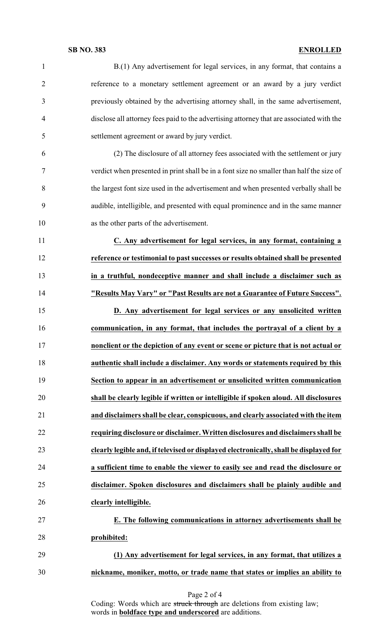### **SB NO. 383 ENROLLED**

| $\mathbf{1}$   | B.(1) Any advertisement for legal services, in any format, that contains a               |  |  |  |
|----------------|------------------------------------------------------------------------------------------|--|--|--|
| $\overline{2}$ | reference to a monetary settlement agreement or an award by a jury verdict               |  |  |  |
| 3              | previously obtained by the advertising attorney shall, in the same advertisement,        |  |  |  |
| $\overline{4}$ | disclose all attorney fees paid to the advertising attorney that are associated with the |  |  |  |
| 5              | settlement agreement or award by jury verdict.                                           |  |  |  |
| 6              | (2) The disclosure of all attorney fees associated with the settlement or jury           |  |  |  |
| $\tau$         | verdict when presented in print shall be in a font size no smaller than half the size of |  |  |  |
| 8              | the largest font size used in the advertisement and when presented verbally shall be     |  |  |  |
| 9              | audible, intelligible, and presented with equal prominence and in the same manner        |  |  |  |
| 10             | as the other parts of the advertisement.                                                 |  |  |  |
| 11             | C. Any advertisement for legal services, in any format, containing a                     |  |  |  |
| 12             | reference or testimonial to past successes or results obtained shall be presented        |  |  |  |
| 13             | in a truthful, nondeceptive manner and shall include a disclaimer such as                |  |  |  |
| 14             | "Results May Vary" or "Past Results are not a Guarantee of Future Success".              |  |  |  |
| 15             | D. Any advertisement for legal services or any unsolicited written                       |  |  |  |
| 16             | communication, in any format, that includes the portrayal of a client by a               |  |  |  |
| 17             | nonclient or the depiction of any event or scene or picture that is not actual or        |  |  |  |
| 18             | authentic shall include a disclaimer. Any words or statements required by this           |  |  |  |
| 19             | Section to appear in an advertisement or unsolicited written communication               |  |  |  |
| 20             | shall be clearly legible if written or intelligible if spoken aloud. All disclosures     |  |  |  |
| 21             | and disclaimers shall be clear, conspicuous, and clearly associated with the item        |  |  |  |
| 22             | requiring disclosure or disclaimer. Written disclosures and disclaimers shall be         |  |  |  |
| 23             | clearly legible and, if televised or displayed electronically, shall be displayed for    |  |  |  |
| 24             | a sufficient time to enable the viewer to easily see and read the disclosure or          |  |  |  |
| 25             | disclaimer. Spoken disclosures and disclaimers shall be plainly audible and              |  |  |  |
| 26             | clearly intelligible.                                                                    |  |  |  |
| 27             | E. The following communications in attorney advertisements shall be                      |  |  |  |
| 28             | prohibited:                                                                              |  |  |  |
| 29             | (1) Any advertisement for legal services, in any format, that utilizes a                 |  |  |  |
| 30             | nickname, moniker, motto, or trade name that states or implies an ability to             |  |  |  |
|                |                                                                                          |  |  |  |

Coding: Words which are struck through are deletions from existing law; words in **boldface type and underscored** are additions.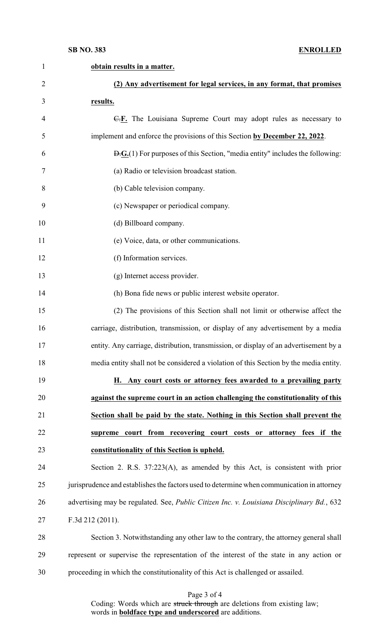### **SB NO. 383 ENROLLED**

| $\mathbf{1}$   | obtain results in a matter.                                                                                |  |  |  |  |
|----------------|------------------------------------------------------------------------------------------------------------|--|--|--|--|
| $\overline{2}$ | (2) Any advertisement for legal services, in any format, that promises                                     |  |  |  |  |
| 3              | results.                                                                                                   |  |  |  |  |
| $\overline{4}$ | E.F. The Louisiana Supreme Court may adopt rules as necessary to                                           |  |  |  |  |
| 5              | implement and enforce the provisions of this Section by December 22, 2022.                                 |  |  |  |  |
| 6              | $\overline{B}$ . $\overline{G}$ . (1) For purposes of this Section, "media entity" includes the following: |  |  |  |  |
| 7              | (a) Radio or television broadcast station.                                                                 |  |  |  |  |
| 8              | (b) Cable television company.                                                                              |  |  |  |  |
| 9              | (c) Newspaper or periodical company.                                                                       |  |  |  |  |
| 10             | (d) Billboard company.                                                                                     |  |  |  |  |
| 11             | (e) Voice, data, or other communications.                                                                  |  |  |  |  |
| 12             | (f) Information services.                                                                                  |  |  |  |  |
| 13             | (g) Internet access provider.                                                                              |  |  |  |  |
| 14             | (h) Bona fide news or public interest website operator.                                                    |  |  |  |  |
| 15             | (2) The provisions of this Section shall not limit or otherwise affect the                                 |  |  |  |  |
| 16             | carriage, distribution, transmission, or display of any advertisement by a media                           |  |  |  |  |
| 17             | entity. Any carriage, distribution, transmission, or display of an advertisement by a                      |  |  |  |  |
| 18             | media entity shall not be considered a violation of this Section by the media entity.                      |  |  |  |  |
| 19             | H. Any court costs or attorney fees awarded to a prevailing party                                          |  |  |  |  |
| 20             | against the supreme court in an action challenging the constitutionality of this                           |  |  |  |  |
| 21             | Section shall be paid by the state. Nothing in this Section shall prevent the                              |  |  |  |  |
| 22             | supreme court from recovering court costs or attorney<br>fees if the                                       |  |  |  |  |
| 23             | constitutionality of this Section is upheld.                                                               |  |  |  |  |
| 24             | Section 2. R.S. $37:223(A)$ , as amended by this Act, is consistent with prior                             |  |  |  |  |
| 25             | jurisprudence and establishes the factors used to determine when communication in attorney                 |  |  |  |  |
| 26             | advertising may be regulated. See, Public Citizen Inc. v. Louisiana Disciplinary Bd., 632                  |  |  |  |  |
| 27             | F.3d 212 (2011).                                                                                           |  |  |  |  |
| 28             | Section 3. Notwithstanding any other law to the contrary, the attorney general shall                       |  |  |  |  |
| 29             | represent or supervise the representation of the interest of the state in any action or                    |  |  |  |  |
| 30             | proceeding in which the constitutionality of this Act is challenged or assailed.                           |  |  |  |  |

Page 3 of 4

Coding: Words which are struck through are deletions from existing law; words in **boldface type and underscored** are additions.